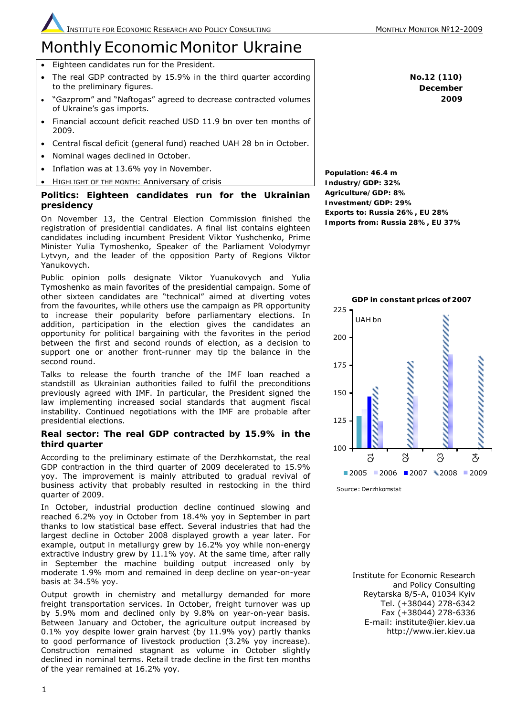**No.12 (110) December 2009**

# **Monthly Economic Monitor Ukraine**

- Eighteen candidates run for the President.
- The real GDP contracted by 15.9% in the third quarter according to the preliminary figures.
- "Gazprom" and "Naftogas" agreed to decrease contracted volumes of Ukraine's gas imports.
- Financial account deficit reached USD 11.9 bn over ten months of 2009.
- Central fiscal deficit (general fund) reached UAH 28 bn in October.
- Nominal wages declined in October.
- Inflation was at 13.6% yoy in November.
- HIGHLIGHT OF THE MONTH: Anniversary of crisis

# **Politics: Eighteen candidates run for the Ukrainian presidency**

On November 13, the Central Election Commission finished the registration of presidential candidates. A final list contains eighteen candidates including incumbent President Viktor Yushchenko, Prime Minister Yulia Tymoshenko, Speaker of the Parliament Volodymyr Lytvyn, and the leader of the opposition Party of Regions Viktor Yanukovych.

Public opinion polls designate Viktor Yuanukovych and Yulia Tymoshenko as main favorites of the presidential campaign. Some of other sixteen candidates are "technical" aimed at diverting votes from the favourites, while others use the campaign as PR opportunity to increase their popularity before parliamentary elections. In addition, participation in the election gives the candidates an opportunity for political bargaining with the favorites in the period between the first and second rounds of election, as a decision to support one or another front-runner may tip the balance in the second round.

Talks to release the fourth tranche of the IMF loan reached a standstill as Ukrainian authorities failed to fulfil the preconditions previously agreed with IMF. In particular, the President signed the law implementing increased social standards that augment fiscal instability. Continued negotiations with the IMF are probable after presidential elections.

# **Real sector: The real GDP contracted by 15.9% in the third quarter**

According to the preliminary estimate of the Derzhkomstat, the real GDP contraction in the third quarter of 2009 decelerated to 15.9% yoy. The improvement is mainly attributed to gradual revival of business activity that probably resulted in restocking in the third quarter of 2009.

In October, industrial production decline continued slowing and reached 6.2% yoy in October from 18.4% yoy in September in part thanks to low statistical base effect. Several industries that had the largest decline in October 2008 displayed growth a year later. For example, output in metallurgy grew by 16.2% yoy while non-energy extractive industry grew by 11.1% yoy. At the same time, after rally in September the machine building output increased only by moderate 1.9% mom and remained in deep decline on year-on-year basis at 34.5% yoy.

Output growth in chemistry and metallurgy demanded for more freight transportation services. In October, freight turnover was up by 5.9% mom and declined only by 9.8% on year-on-year basis. Between January and October, the agriculture output increased by 0.1% yoy despite lower grain harvest (by 11.9% yoy) partly thanks to good performance of livestock production (3.2% yoy increase). Construction remained stagnant as volume in October slightly declined in nominal terms. Retail trade decline in the first ten months of the year remained at 16.2% yoy.

**Population: 46.4 m Industry/GDP: 32% Agriculture/GDP: 8% Investment/GDP: 29% Exports to: Russia 26%, EU 28% Imports from: Russia 28%, EU 37%**



Source: Derzhkomstat

Institute for Economic Research and Policy Consulting Reytarska 8/5-A, 01034 Kyiv Tel. (+38044) 278-6342 Fax (+38044) 278-6336 E-mail: institute@ier.kiev.ua http://www.ier.kiev.ua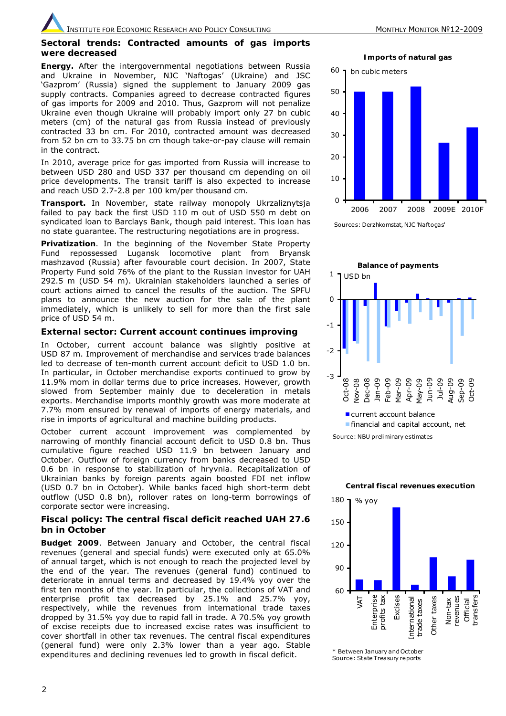#### **Sectoral trends: Contracted amounts of gas imports were decreased**

*Energy.* After the intergovernmental negotiations between Russia and Ukraine in November, NJC 'Naftogas' (Ukraine) and JSC 'Gazprom' (Russia) signed the supplement to January 2009 gas supply contracts. Companies agreed to decrease contracted figures of gas imports for 2009 and 2010. Thus, Gazprom will not penalize Ukraine even though Ukraine will probably import only 27 bn cubic meters (cm) of the natural gas from Russia instead of previously contracted 33 bn cm. For 2010, contracted amount was decreased from 52 bn cm to 33.75 bn cm though take-or-pay clause will remain in the contract.

In 2010, average price for gas imported from Russia will increase to between USD 280 and USD 337 per thousand cm depending on oil price developments. The transit tariff is also expected to increase and reach USD 2.7-2.8 per 100 km/per thousand cm.

*Transport.* In November, state railway monopoly Ukrzaliznytsja failed to pay back the first USD 110 m out of USD 550 m debt on syndicated loan to Barclays Bank, though paid interest. This loan has no state guarantee. The restructuring negotiations are in progress.

*Privatization*. In the beginning of the November State Property Fund repossessed Lugansk locomotive plant from Bryansk mashzavod (Russia) after favourable court decision. In 2007, State Property Fund sold 76% of the plant to the Russian investor for UAH 292.5 m (USD 54 m). Ukrainian stakeholders launched a series of court actions aimed to cancel the results of the auction. The SPFU plans to announce the new auction for the sale of the plant immediately, which is unlikely to sell for more than the first sale price of USD 54 m.

#### **External sector: Current account continues improving**

In October, current account balance was slightly positive at USD 87 m. Improvement of merchandise and services trade balances led to decrease of ten-month current account deficit to USD 1.0 bn. In particular, in October merchandise exports continued to grow by 11.9% mom in dollar terms due to price increases. However, growth slowed from September mainly due to deceleration in metals exports. Merchandise imports monthly growth was more moderate at 7.7% mom ensured by renewal of imports of energy materials, and rise in imports of agricultural and machine building products.

October current account improvement was complemented by narrowing of monthly financial account deficit to USD 0.8 bn. Thus cumulative figure reached USD 11.9 bn between January and October. Outflow of foreign currency from banks decreased to USD 0.6 bn in response to stabilization of hryvnia. Recapitalization of Ukrainian banks by foreign parents again boosted FDI net inflow (USD 0.7 bn in October). While banks faced high short-term debt outflow (USD 0.8 bn), rollover rates on long-term borrowings of corporate sector were increasing.

### **Fiscal policy: The central fiscal deficit reached UAH 27.6 bn in October**

*Budget 2009*. Between January and October, the central fiscal revenues (general and special funds) were executed only at 65.0% of annual target, which is not enough to reach the projected level by the end of the year. The revenues (general fund) continued to deteriorate in annual terms and decreased by 19.4% yoy over the first ten months of the year. In particular, the collections of VAT and enterprise profit tax decreased by 25.1% and 25.7% yoy, respectively, while the revenues from international trade taxes dropped by 31.5% yoy due to rapid fall in trade. A 70.5% yoy growth of excise receipts due to increased excise rates was insufficient to cover shortfall in other tax revenues. The central fiscal expenditures (general fund) were only 2.3% lower than a year ago. Stable expenditures and declining revenues led to growth in fiscal deficit.

**Imports of natural gas** 



Sources: Derzhkomstat, NJC 'Naftogas'



current account balance **Financial and capital account, net** 

Source: NBU preliminary estimates

**Central fiscal revenues execution** 



\* Between January and October Source: State Treasury reports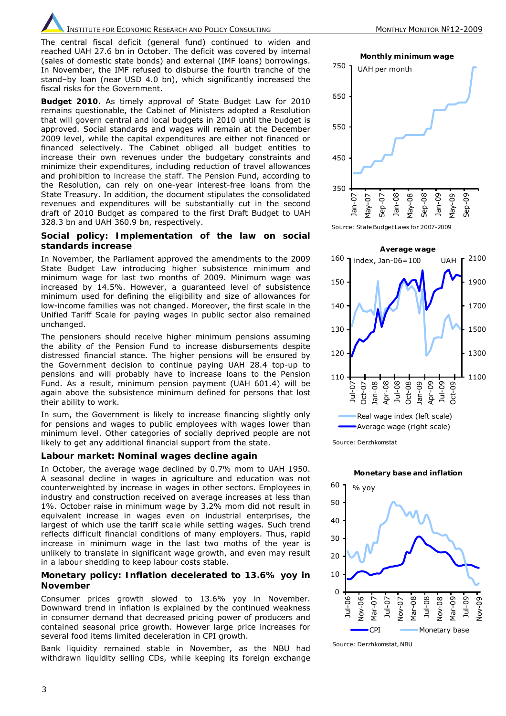The central fiscal deficit (general fund) continued to widen and reached UAH 27.6 bn in October. The deficit was covered by internal (sales of domestic state bonds) and external (IMF loans) borrowings. In November, the IMF refused to disburse the fourth tranche of the stand–by loan (near USD 4.0 bn), which significantly increased the fiscal risks for the Government.

*Budget 2010.* As timely approval of State Budget Law for 2010 remains questionable, the Cabinet of Ministers adopted a Resolution that will govern central and local budgets in 2010 until the budget is approved. Social standards and wages will remain at the December 2009 level, while the capital expenditures are either not financed or financed selectively. The Cabinet obliged all budget entities to increase their own revenues under the budgetary constraints and minimize their expenditures, including reduction of travel allowances and prohibition to increase the staff. The Pension Fund, according to the Resolution, can rely on one-year interest-free loans from the State Treasury. In addition, the document stipulates the consolidated revenues and expenditures will be substantially cut in the second draft of 2010 Budget as compared to the first Draft Budget to UAH 328.3 bn and UAH 360.9 bn, respectively.

#### **Social policy: Implementation of the law on social standards increase**

In November, the Parliament approved the amendments to the 2009 State Budget Law introducing higher subsistence minimum and minimum wage for last two months of 2009. Minimum wage was increased by 14.5%. However, a guaranteed level of subsistence minimum used for defining the eligibility and size of allowances for low-income families was not changed. Moreover, the first scale in the Unified Tariff Scale for paying wages in public sector also remained unchanged.

The pensioners should receive higher minimum pensions assuming the ability of the Pension Fund to increase disbursements despite distressed financial stance. The higher pensions will be ensured by the Government decision to continue paying UAH 28.4 top-up to pensions and will probably have to increase loans to the Pension Fund. As a result, minimum pension payment (UAH 601.4) will be again above the subsistence minimum defined for persons that lost their ability to work.

In sum, the Government is likely to increase financing slightly only for pensions and wages to public employees with wages lower than minimum level. Other categories of socially deprived people are not likely to get any additional financial support from the state.

#### **Labour market: Nominal wages decline again**

In October, the average wage declined by 0.7% mom to UAH 1950. A seasonal decline in wages in agriculture and education was not counterweighted by increase in wages in other sectors. Employees in industry and construction received on average increases at less than 1%. October raise in minimum wage by 3.2% mom did not result in equivalent increase in wages even on industrial enterprises, the largest of which use the tariff scale while setting wages. Such trend reflects difficult financial conditions of many employers. Thus, rapid increase in minimum wage in the last two moths of the year is unlikely to translate in significant wage growth, and even may result in a labour shedding to keep labour costs stable.

# **Monetary policy: Inflation decelerated to 13.6% yoy in November**

Consumer prices growth slowed to 13.6% yoy in November. Downward trend in inflation is explained by the continued weakness in consumer demand that decreased pricing power of producers and contained seasonal price growth. However large price increases for several food items limited deceleration in CPI growth.

Bank liquidity remained stable in November, as the NBU had withdrawn liquidity selling CDs, while keeping its foreign exchange

**Monthly minimum wage** 

350 450 550 650 750 Jan-07 May-07 Sep-07 Jan-08 May-08 Sep-08 Jan-09 May-09 Sep-09 UAH per month

Source: State Budget Laws for 2007-2009



Source: Derzhkomstat



Source: Derzhkomstat, NBU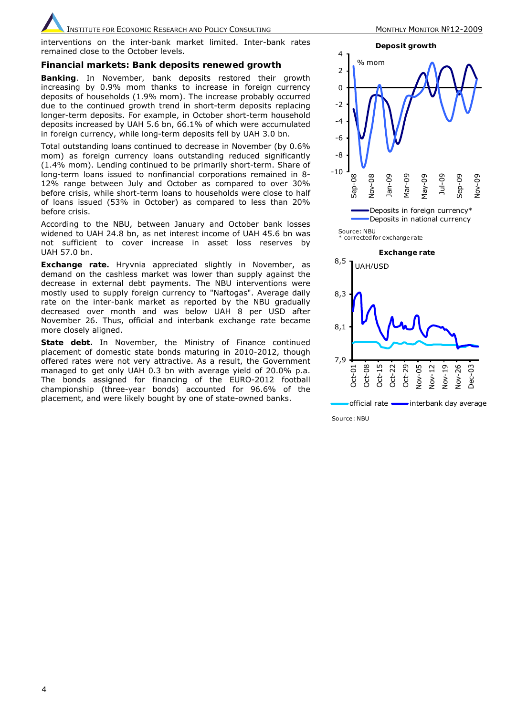interventions on the inter-bank market limited. Inter-bank rates remained close to the October levels.

# **Financial markets: Bank deposits renewed growth**

*Banking*. In November, bank deposits restored their growth increasing by 0.9% mom thanks to increase in foreign currency deposits of households (1.9% mom). The increase probably occurred due to the continued growth trend in short-term deposits replacing longer-term deposits. For example, in October short-term household deposits increased by UAH 5.6 bn, 66.1% of which were accumulated in foreign currency, while long-term deposits fell by UAH 3.0 bn.

Total outstanding loans continued to decrease in November (by 0.6% mom) as foreign currency loans outstanding reduced significantly (1.4% mom). Lending continued to be primarily short-term. Share of long-term loans issued to nonfinancial corporations remained in 8- 12% range between July and October as compared to over 30% before crisis, while short-term loans to households were close to half of loans issued (53% in October) as compared to less than 20% before crisis.

According to the NBU, between January and October bank losses widened to UAH 24.8 bn, as net interest income of UAH 45.6 bn was not sufficient to cover increase in asset loss reserves by UAH 57.0 bn.

*Exchange rate.* Hryvnia appreciated slightly in November, as demand on the cashless market was lower than supply against the decrease in external debt payments. The NBU interventions were mostly used to supply foreign currency to "Naftogas". Average daily rate on the inter-bank market as reported by the NBU gradually decreased over month and was below UAH 8 per USD after November 26. Thus, official and interbank exchange rate became more closely aligned.

**State debt.** In November, the Ministry of Finance continued placement of domestic state bonds maturing in 2010-2012, though offered rates were not very attractive. As a result, the Government managed to get only UAH 0.3 bn with average yield of 20.0% p.a. The bonds assigned for financing of the EURO-2012 football championship (three-year bonds) accounted for 96.6% of the placement, and were likely bought by one of state-owned banks.



Source: NBU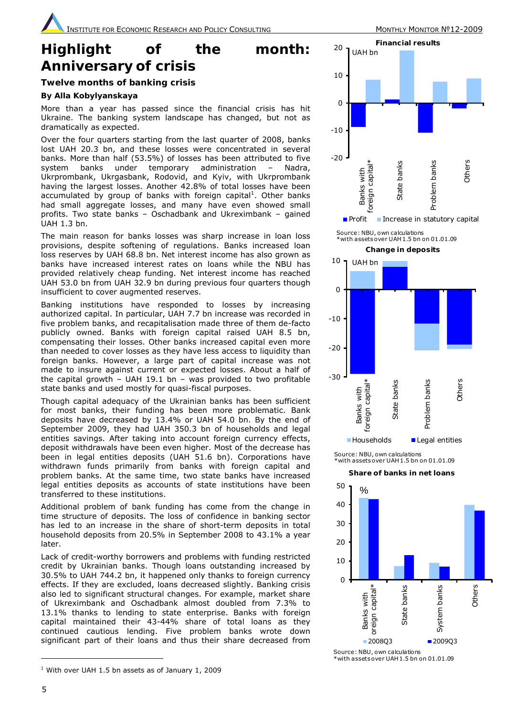# **Highlight of the month: Anniversary of crisis**

# **Twelve months of banking crisis**

# *By Alla Kobylyanskaya*

More than a year has passed since the financial crisis has hit Ukraine. The banking system landscape has changed, but not as dramatically as expected.

Over the four quarters starting from the last quarter of 2008, banks lost UAH 20.3 bn, and these losses were concentrated in several banks. More than half (53.5%) of losses has been attributed to five system banks under temporary administration – Nadra, Ukrprombank, Ukrgasbank, Rodovid, and Kyiv, with Ukrprombank having the largest losses. Another 42.8% of total losses have been accumulated by group of banks with foreign capital<sup>1</sup>. Other banks had small aggregate losses, and many have even showed small profits. Two state banks – Oschadbank and Ukreximbank – gained UAH 1.3 bn.

The main reason for banks losses was sharp increase in loan loss provisions, despite softening of regulations. Banks increased loan loss reserves by UAH 68.8 bn. Net interest income has also grown as banks have increased interest rates on loans while the NBU has provided relatively cheap funding. Net interest income has reached UAH 53.0 bn from UAH 32.9 bn during previous four quarters though insufficient to cover augmented reserves.

Banking institutions have responded to losses by increasing authorized capital. In particular, UAH 7.7 bn increase was recorded in five problem banks, and recapitalisation made three of them de-facto publicly owned. Banks with foreign capital raised UAH 8.5 bn, compensating their losses. Other banks increased capital even more than needed to cover losses as they have less access to liquidity than foreign banks. However, a large part of capital increase was not made to insure against current or expected losses. About a half of the capital growth – UAH 19.1 bn – was provided to two profitable state banks and used mostly for quasi-fiscal purposes.

Though capital adequacy of the Ukrainian banks has been sufficient for most banks, their funding has been more problematic. Bank deposits have decreased by 13.4% or UAH 54.0 bn. By the end of September 2009, they had UAH 350.3 bn of households and legal entities savings. After taking into account foreign currency effects, deposit withdrawals have been even higher. Most of the decrease has been in legal entities deposits (UAH 51.6 bn). Corporations have withdrawn funds primarily from banks with foreign capital and problem banks. At the same time, two state banks have increased legal entities deposits as accounts of state institutions have been transferred to these institutions.

Additional problem of bank funding has come from the change in time structure of deposits. The loss of confidence in banking sector has led to an increase in the share of short-term deposits in total household deposits from 20.5% in September 2008 to 43.1% a year later.

Lack of credit-worthy borrowers and problems with funding restricted credit by Ukrainian banks. Though loans outstanding increased by 30.5% to UAH 744.2 bn, it happened only thanks to foreign currency effects. If they are excluded, loans decreased slightly. Banking crisis also led to significant structural changes. For example, market share of Ukreximbank and Oschadbank almost doubled from 7.3% to 13.1% thanks to lending to state enterprise. Banks with foreign capital maintained their 43-44% share of total loans as they continued cautious lending. Five problem banks wrote down significant part of their loans and thus their share decreased from



\*with assets over UAH 1.5 bn on 01.01.09

**Change in deposits** 



Source: NBU, own calculations  $\frac{1}{2}$  with assets over UAH 1.5 bn on 01.01.09

#### **Share of banks in net loans**



\*with assets over UAH 1.5 bn on 01.01.09

ı

<sup>1</sup> With over UAH 1.5 bn assets as of January 1, 2009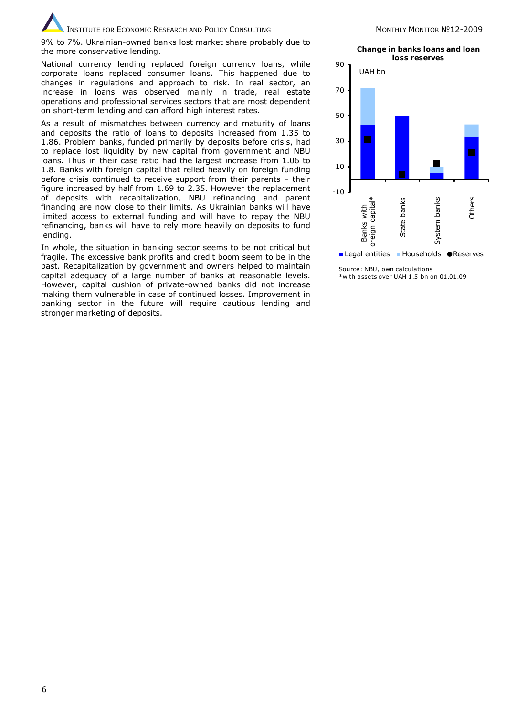INSTITUTE FOR ECONOMIC RESEARCH AND POLICY CONSULTING MONTHLY MONTHLY MONITOR Nº12-2009

National currency lending replaced foreign currency loans, while corporate loans replaced consumer loans. This happened due to changes in regulations and approach to risk. In real sector, an increase in loans was observed mainly in trade, real estate operations and professional services sectors that are most dependent on short-term lending and can afford high interest rates.

As a result of mismatches between currency and maturity of loans and deposits the ratio of loans to deposits increased from 1.35 to 1.86. Problem banks, funded primarily by deposits before crisis, had to replace lost liquidity by new capital from government and NBU loans. Thus in their case ratio had the largest increase from 1.06 to 1.8. Banks with foreign capital that relied heavily on foreign funding before crisis continued to receive support from their parents – their figure increased by half from 1.69 to 2.35. However the replacement of deposits with recapitalization, NBU refinancing and parent financing are now close to their limits. As Ukrainian banks will have limited access to external funding and will have to repay the NBU refinancing, banks will have to rely more heavily on deposits to fund lending.

In whole, the situation in banking sector seems to be not critical but fragile. The excessive bank profits and credit boom seem to be in the past. Recapitalization by government and owners helped to maintain capital adequacy of a large number of banks at reasonable levels. However, capital cushion of private-owned banks did not increase making them vulnerable in case of continued losses. Improvement in banking sector in the future will require cautious lending and stronger marketing of deposits.

**Change in banks loans and loan** 



Source: NBU, own calculations \*with assets over UAH 1.5 bn on 01.01.09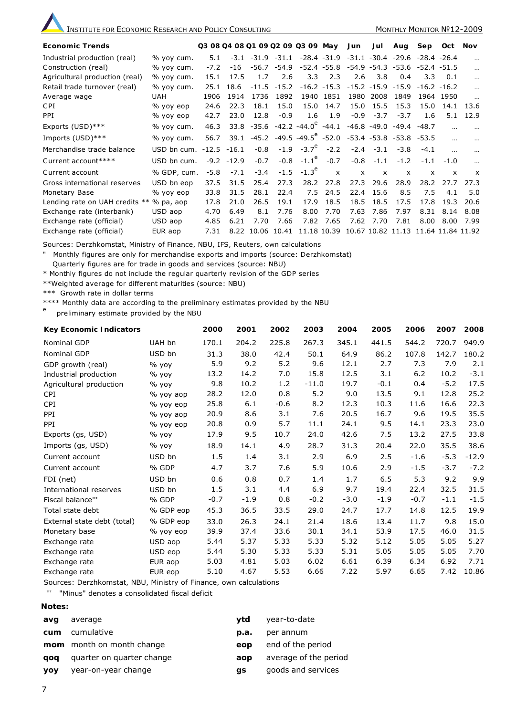| <b>Economic Trends</b>         |                           | Q3 08 Q4 08 Q1 09 Q2 09 Q3 09 May |         |        |               |                                                                              |                | Jun          | Jul            | Aug                                 | Sep               | Oct       | Nov          |
|--------------------------------|---------------------------|-----------------------------------|---------|--------|---------------|------------------------------------------------------------------------------|----------------|--------------|----------------|-------------------------------------|-------------------|-----------|--------------|
| Industrial production (real)   | % yoy cum.                | 5.1                               | $-3.1$  |        | $-31.9 -31.1$ |                                                                              | $-28.4 - 31.9$ |              |                | $-31.1 - 30.4 - 29.6 - 28.4 - 26.4$ |                   |           |              |
| Construction (real)            | % yoy cum.                | $-7.2$                            | $-16$   |        | $-56.7 -54.9$ |                                                                              | $-52.4 - 55.8$ |              |                | $-54.9 -54.3 -53.6 -52.4 -51.5$     |                   |           |              |
| Agricultural production (real) | % yoy cum.                | 15.1                              | 17.5    | 1.7    | 2.6           | 3.3                                                                          | 2.3            | 2.6          | 3.8            | 0.4                                 | 3.3               | 0.1       |              |
| Retail trade turnover (real)   | % yoy cum.                | 25.1                              | 18.6    |        | $-11.5 -15.2$ |                                                                              | $-16.2 -15.3$  |              |                | $-15.2 -15.9 -15.9$                 | $-16.2 - 16.2$    |           |              |
| Average wage                   | UAH.                      | 1906                              | 1914    | 1736   | 1892          |                                                                              | 1940 1851      | 1980         | 2008           | 1849                                |                   | 1964 1950 |              |
| <b>CPI</b>                     | % yoy eop                 | 24.6                              | 22.3    | 18.1   | 15.0          | 15.0                                                                         | 14.7           | 15.0         | 15.5           | 15.3                                | 15.0              | 14.1      | 13.6         |
| <b>PPI</b>                     | % yoy eop                 | 42.7                              | 23.0    | 12.8   | $-0.9$        | 1.6                                                                          | 1.9            | $-0.9$       | $-3.7$         | $-3.7$                              | 1.6               | 5.1       | 12.9         |
| Exports (USD)***               | % yoy cum.                | 46.3                              |         |        |               | $33.8 - 35.6 - 42.2 - 44.0^c - 44.1$                                         |                |              | $-46.8 - 49.0$ | $-49.4 - 48.7$                      |                   |           |              |
| Imports (USD)***               | % yoy cum.                | 56.7                              | 39.1    |        |               | $-45.2$ $-49.5$ $-49.5$ <sup>e</sup> $-52.0$ $-53.4$ $-53.8$ $-53.8$ $-53.5$ |                |              |                |                                     |                   |           |              |
| Merchandise trade balance      | USD bn cum. $-12.5 -16.1$ |                                   |         | $-0.8$ |               | $-1.9 -3.7^e$                                                                | $-2.2$         | $-2.4$       | $-3.1$         | $-3.8$                              | $-4.1$            |           |              |
| Current account****            | USD bn cum.               | $-9.2$                            | $-12.9$ | $-0.7$ |               | $-0.8 -1.1^e$                                                                | $-0.7$         | $-0.8$       | $-1.1$         | $-1.2$                              | $-1.1$            | $-1.0$    |              |
| Current account                | % GDP, cum.               | $-5.8$                            | $-7.1$  | $-3.4$ | $-1.5$        | $-1.3^{\circ}$                                                               | $\mathsf{x}$   | $\mathsf{x}$ | $\times$       | $\times$                            | $\times$          | x         | $\mathsf{x}$ |
| Gross international reserves   | USD bn eop                | 37.5                              | 31.5    | 25.4   | 27.3          | 28.2                                                                         | 27.8           | 27.3         | 29.6           | 28.9                                | 28.2              | 27.7      | 27.3         |
| Monetary Base                  | % yoy eop                 | 33.8                              | 31.5    | 28.1   | 22.4          | 7.5                                                                          | 24.5           | 22.4         | 15.6           | 8.5                                 | 7.5               | 4.1       | 5.0          |
| Lending rate on UAH credits ** | $%$ pa, aop               | 17.8                              | 21.0    | 26.5   | 19.1          | 17.9                                                                         | 18.5           | 18.5         | 18.5           | 17.5                                | 17.8              | 19.3      | 20.6         |
| Exchange rate (interbank)      | USD aop                   | 4.70                              | 6.49    | 8.1    | 7.76          | 8.00                                                                         | 7.70           | 7.63         | 7.86           | 7.97                                | 8.31              | 8.14      | 8.08         |
| Exchange rate (official)       | USD aop                   | 4.85                              | 6.21    | 7.70   | 7.66          | 7.82                                                                         | 7.65           | 7.62         | 7.70           | 7.81                                | 8.00              | 8.00      | 7.99         |
| Exchange rate (official)       | EUR aop                   | 7.31                              | 8.22    | 10.06  | 10.41         | 11.18 10.39                                                                  |                |              |                | 10.67 10.82 11.13                   | 11.64 11.84 11.92 |           |              |

Sources: Derzhkomstat, Ministry of Finance, NBU, IFS, Reuters, own calculations

" Monthly figures are only for merchandise exports and imports (source: Derzhkomstat)

Quarterly figures are for trade in goods and services (source: NBU)

\* Monthly figures do not include the regular quarterly revision of the GDP series

\*\*Weighted average for different maturities (source: NBU)

\*\*\* Growth rate in dollar terms

\*\*\*\* Monthly data are according to the preliminary estimates provided by the NBU

preliminary estimate provided by the NBU

| <b>Key Economic Indicators</b> |             | 2000   | 2001   | 2002   | 2003    | 2004   | 2005   | 2006   | 2007   | 2008    |
|--------------------------------|-------------|--------|--------|--------|---------|--------|--------|--------|--------|---------|
| Nominal GDP                    | UAH bn      | 170.1  | 204.2  | 225.8  | 267.3   | 345.1  | 441.5  | 544.2  | 720.7  | 949.9   |
| Nominal GDP                    | USD bn      | 31.3   | 38.0   | 42.4   | 50.1    | 64.9   | 86.2   | 107.8  | 142.7  | 180.2   |
| GDP growth (real)              | $%$ yoy     | 5.9    | 9.2    | 5.2    | 9.6     | 12.1   | 2.7    | 7.3    | 7.9    | 2.1     |
| Industrial production          | $%$ yoy     | 13.2   | 14.2   | 7.0    | 15.8    | 12.5   | 3.1    | 6.2    | 10.2   | $-3.1$  |
| Agricultural production        | $%$ yoy     | 9.8    | 10.2   | 1.2    | $-11.0$ | 19.7   | $-0.1$ | 0.4    | $-5.2$ | 17.5    |
| <b>CPI</b>                     | $%$ yoy aop | 28.2   | 12.0   | 0.8    | 5.2     | 9.0    | 13.5   | 9.1    | 12.8   | 25.2    |
| <b>CPI</b>                     | % yoy eop   | 25.8   | 6.1    | $-0.6$ | 8.2     | 12.3   | 10.3   | 11.6   | 16.6   | 22.3    |
| PPI                            | % yoy aop   | 20.9   | 8.6    | 3.1    | 7.6     | 20.5   | 16.7   | 9.6    | 19.5   | 35.5    |
| <b>PPI</b>                     | % yoy eop   | 20.8   | 0.9    | 5.7    | 11.1    | 24.1   | 9.5    | 14.1   | 23.3   | 23.0    |
| Exports (gs, USD)              | $%$ yoy     | 17.9   | 9.5    | 10.7   | 24.0    | 42.6   | 7.5    | 13.2   | 27.5   | 33.8    |
| Imports (gs, USD)              | $%$ yoy     | 18.9   | 14.1   | 4.9    | 28.7    | 31.3   | 20.4   | 22.0   | 35.5   | 38.6    |
| Current account                | USD bn      | 1.5    | 1.4    | 3.1    | 2.9     | 6.9    | 2.5    | $-1.6$ | $-5.3$ | $-12.9$ |
| Current account                | % GDP       | 4.7    | 3.7    | 7.6    | 5.9     | 10.6   | 2.9    | $-1.5$ | $-3.7$ | $-7.2$  |
| FDI (net)                      | USD bn      | 0.6    | 0.8    | 0.7    | 1.4     | 1.7    | 6.5    | 5.3    | 9.2    | 9.9     |
| International reserves         | USD bn      | 1.5    | 3.1    | 4.4    | 6.9     | 9.7    | 19.4   | 22.4   | 32.5   | 31.5    |
| Fiscal balance""               | % GDP       | $-0.7$ | $-1.9$ | 0.8    | $-0.2$  | $-3.0$ | $-1.9$ | $-0.7$ | $-1.1$ | $-1.5$  |
| Total state debt               | % GDP eop   | 45.3   | 36.5   | 33.5   | 29.0    | 24.7   | 17.7   | 14.8   | 12.5   | 19.9    |
| External state debt (total)    | % GDP eop   | 33.0   | 26.3   | 24.1   | 21.4    | 18.6   | 13.4   | 11.7   | 9.8    | 15.0    |
| Monetary base                  | % yoy eop   | 39.9   | 37.4   | 33.6   | 30.1    | 34.1   | 53.9   | 17.5   | 46.0   | 31.5    |
| Exchange rate                  | USD aop     | 5.44   | 5.37   | 5.33   | 5.33    | 5.32   | 5.12   | 5.05   | 5.05   | 5.27    |
| Exchange rate                  | USD eop     | 5.44   | 5.30   | 5.33   | 5.33    | 5.31   | 5.05   | 5.05   | 5.05   | 7.70    |
| Exchange rate                  | EUR aop     | 5.03   | 4.81   | 5.03   | 6.02    | 6.61   | 6.39   | 6.34   | 6.92   | 7.71    |
| Exchange rate                  | EUR eop     | 5.10   | 4.67   | 5.53   | 6.66    | 7.22   | 5.97   | 6.65   | 7.42   | 10.86   |

Sources: Derzhkomstat, NBU, Ministry of Finance, own calculations

''' "Minus" denotes a consolidated fiscal deficit

# **Notes:**

| avq        | average                   | vtd  | year-to-date          |
|------------|---------------------------|------|-----------------------|
| cum        | cumulative                | p.a. | per annum             |
|            | mom month on month change | eop  | end of the period     |
| qoq        | quarter on quarter change | aop  | average of the period |
| <b>YOV</b> | year-on-year change       | as   | goods and services    |